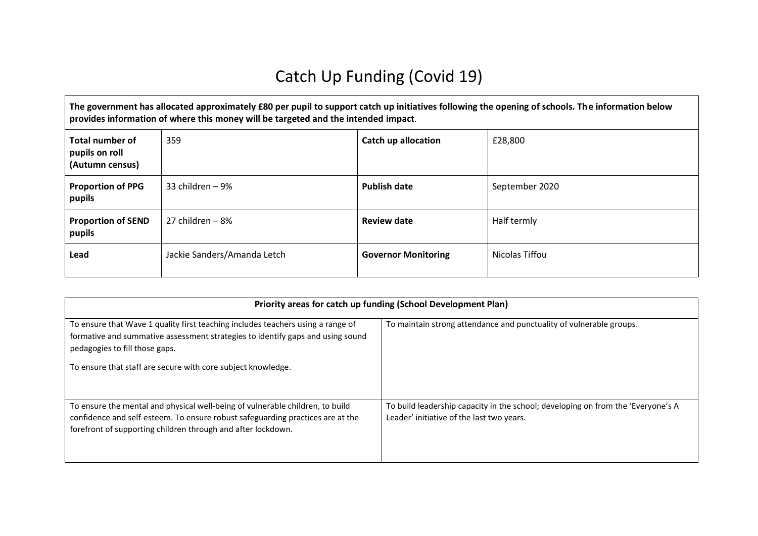## Catch Up Funding (Covid 19)

**The government has allocated approximately £80 per pupil to support catch up initiatives following the opening of schools. The information below provides information of where this money will be targeted and the intended impact**.

| <b>Total number of</b><br>pupils on roll<br>(Autumn census) | 359                         | <b>Catch up allocation</b> | £28,800        |
|-------------------------------------------------------------|-----------------------------|----------------------------|----------------|
| <b>Proportion of PPG</b><br>pupils                          | 33 children - 9%            | <b>Publish date</b>        | September 2020 |
| <b>Proportion of SEND</b><br>pupils                         | 27 children – 8%            | <b>Review date</b>         | Half termly    |
| Lead                                                        | Jackie Sanders/Amanda Letch | <b>Governor Monitoring</b> | Nicolas Tiffou |

| Priority areas for catch up funding (School Development Plan)                                                                                                                                                                                                       |                                                                                                                               |  |  |  |  |
|---------------------------------------------------------------------------------------------------------------------------------------------------------------------------------------------------------------------------------------------------------------------|-------------------------------------------------------------------------------------------------------------------------------|--|--|--|--|
| To ensure that Wave 1 quality first teaching includes teachers using a range of<br>formative and summative assessment strategies to identify gaps and using sound<br>pedagogies to fill those gaps.<br>To ensure that staff are secure with core subject knowledge. | To maintain strong attendance and punctuality of vulnerable groups.                                                           |  |  |  |  |
| To ensure the mental and physical well-being of vulnerable children, to build<br>confidence and self-esteem. To ensure robust safeguarding practices are at the<br>forefront of supporting children through and after lockdown.                                     | To build leadership capacity in the school; developing on from the 'Everyone's A<br>Leader' initiative of the last two years. |  |  |  |  |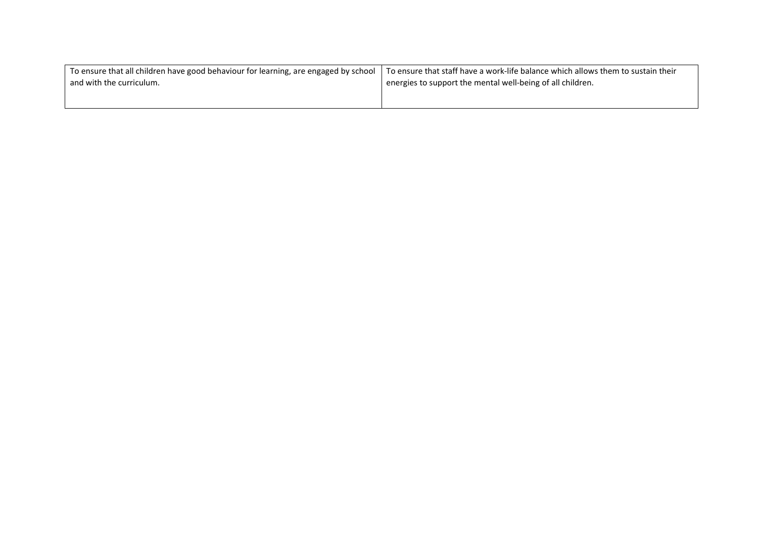| To ensure that all children have good behaviour for learning, are engaged by school   To ensure that staff have a work-life balance which allows them to sustain their |                                                            |  |  |
|------------------------------------------------------------------------------------------------------------------------------------------------------------------------|------------------------------------------------------------|--|--|
| and with the curriculum.                                                                                                                                               | energies to support the mental well-being of all children. |  |  |
|                                                                                                                                                                        |                                                            |  |  |
|                                                                                                                                                                        |                                                            |  |  |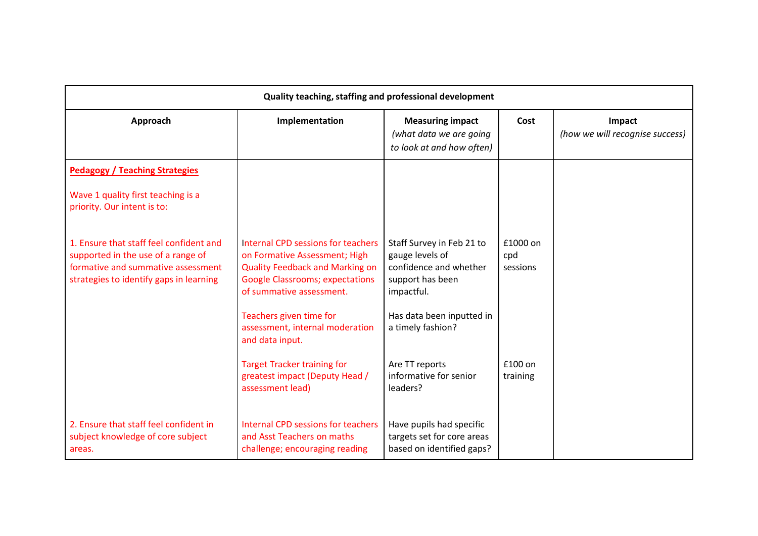| Quality teaching, staffing and professional development                                                                                                        |                                                                                                                                                                                     |                                                                                                          |                             |                                           |  |
|----------------------------------------------------------------------------------------------------------------------------------------------------------------|-------------------------------------------------------------------------------------------------------------------------------------------------------------------------------------|----------------------------------------------------------------------------------------------------------|-----------------------------|-------------------------------------------|--|
| Approach                                                                                                                                                       | Implementation                                                                                                                                                                      | <b>Measuring impact</b><br>(what data we are going<br>to look at and how often)                          | Cost                        | Impact<br>(how we will recognise success) |  |
| <b>Pedagogy / Teaching Strategies</b>                                                                                                                          |                                                                                                                                                                                     |                                                                                                          |                             |                                           |  |
| Wave 1 quality first teaching is a<br>priority. Our intent is to:                                                                                              |                                                                                                                                                                                     |                                                                                                          |                             |                                           |  |
| 1. Ensure that staff feel confident and<br>supported in the use of a range of<br>formative and summative assessment<br>strategies to identify gaps in learning | Internal CPD sessions for teachers<br>on Formative Assessment; High<br><b>Quality Feedback and Marking on</b><br><b>Google Classrooms; expectations</b><br>of summative assessment. | Staff Survey in Feb 21 to<br>gauge levels of<br>confidence and whether<br>support has been<br>impactful. | £1000 on<br>cpd<br>sessions |                                           |  |
|                                                                                                                                                                | Teachers given time for<br>assessment, internal moderation<br>and data input.                                                                                                       | Has data been inputted in<br>a timely fashion?                                                           |                             |                                           |  |
|                                                                                                                                                                | <b>Target Tracker training for</b><br>greatest impact (Deputy Head /<br>assessment lead)                                                                                            | Are TT reports<br>informative for senior<br>leaders?                                                     | £100 on<br>training         |                                           |  |
| 2. Ensure that staff feel confident in<br>subject knowledge of core subject<br>areas.                                                                          | Internal CPD sessions for teachers<br>and Asst Teachers on maths<br>challenge; encouraging reading                                                                                  | Have pupils had specific<br>targets set for core areas<br>based on identified gaps?                      |                             |                                           |  |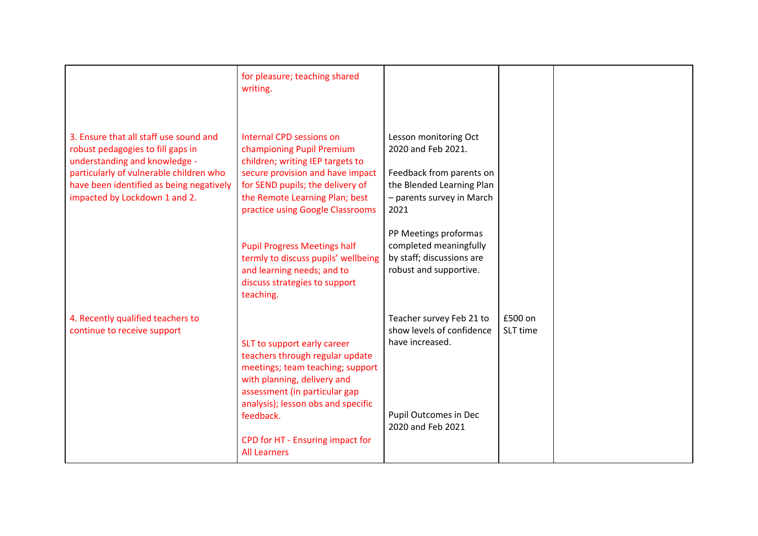|                                                                                                                                                                                                                                      | for pleasure; teaching shared<br>writing.                                                                                                                                                                                               |                                                                                                                                           |                     |  |
|--------------------------------------------------------------------------------------------------------------------------------------------------------------------------------------------------------------------------------------|-----------------------------------------------------------------------------------------------------------------------------------------------------------------------------------------------------------------------------------------|-------------------------------------------------------------------------------------------------------------------------------------------|---------------------|--|
| 3. Ensure that all staff use sound and<br>robust pedagogies to fill gaps in<br>understanding and knowledge -<br>particularly of vulnerable children who<br>have been identified as being negatively<br>impacted by Lockdown 1 and 2. | Internal CPD sessions on<br>championing Pupil Premium<br>children; writing IEP targets to<br>secure provision and have impact<br>for SEND pupils; the delivery of<br>the Remote Learning Plan; best<br>practice using Google Classrooms | Lesson monitoring Oct<br>2020 and Feb 2021.<br>Feedback from parents on<br>the Blended Learning Plan<br>- parents survey in March<br>2021 |                     |  |
|                                                                                                                                                                                                                                      | <b>Pupil Progress Meetings half</b><br>termly to discuss pupils' wellbeing<br>and learning needs; and to<br>discuss strategies to support<br>teaching.                                                                                  | PP Meetings proformas<br>completed meaningfully<br>by staff; discussions are<br>robust and supportive.                                    |                     |  |
| 4. Recently qualified teachers to<br>continue to receive support                                                                                                                                                                     | SLT to support early career<br>teachers through regular update<br>meetings; team teaching; support<br>with planning, delivery and<br>assessment (in particular gap<br>analysis); lesson obs and specific<br>feedback.                   | Teacher survey Feb 21 to<br>show levels of confidence<br>have increased.<br>Pupil Outcomes in Dec<br>2020 and Feb 2021                    | £500 on<br>SLT time |  |
|                                                                                                                                                                                                                                      | CPD for HT - Ensuring impact for<br><b>All Learners</b>                                                                                                                                                                                 |                                                                                                                                           |                     |  |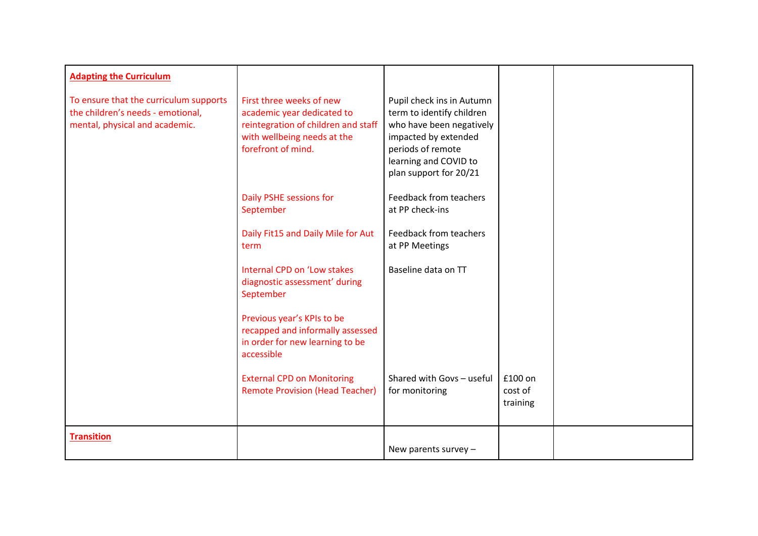| <b>Adapting the Curriculum</b>                                                                                |                                                                                                                                                    |                                                                                                                                                                                    |                                |  |
|---------------------------------------------------------------------------------------------------------------|----------------------------------------------------------------------------------------------------------------------------------------------------|------------------------------------------------------------------------------------------------------------------------------------------------------------------------------------|--------------------------------|--|
| To ensure that the curriculum supports<br>the children's needs - emotional,<br>mental, physical and academic. | First three weeks of new<br>academic year dedicated to<br>reintegration of children and staff<br>with wellbeing needs at the<br>forefront of mind. | Pupil check ins in Autumn<br>term to identify children<br>who have been negatively<br>impacted by extended<br>periods of remote<br>learning and COVID to<br>plan support for 20/21 |                                |  |
|                                                                                                               | Daily PSHE sessions for<br>September                                                                                                               | <b>Feedback from teachers</b><br>at PP check-ins                                                                                                                                   |                                |  |
|                                                                                                               | Daily Fit15 and Daily Mile for Aut<br>term                                                                                                         | Feedback from teachers<br>at PP Meetings                                                                                                                                           |                                |  |
|                                                                                                               | Internal CPD on 'Low stakes<br>diagnostic assessment' during<br>September                                                                          | Baseline data on TT                                                                                                                                                                |                                |  |
|                                                                                                               | Previous year's KPIs to be<br>recapped and informally assessed<br>in order for new learning to be<br>accessible                                    |                                                                                                                                                                                    |                                |  |
|                                                                                                               | <b>External CPD on Monitoring</b><br><b>Remote Provision (Head Teacher)</b>                                                                        | Shared with Govs - useful<br>for monitoring                                                                                                                                        | £100 on<br>cost of<br>training |  |
| <b>Transition</b>                                                                                             |                                                                                                                                                    | New parents survey $-$                                                                                                                                                             |                                |  |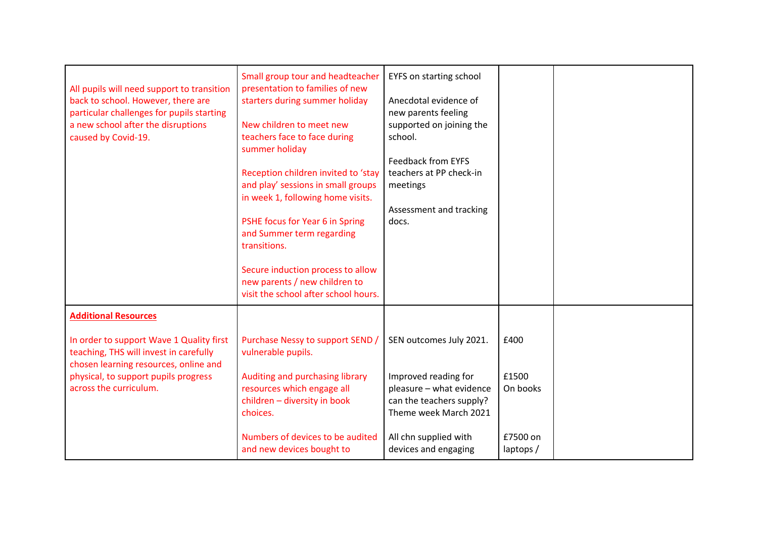| All pupils will need support to transition<br>back to school. However, there are<br>particular challenges for pupils starting<br>a new school after the disruptions<br>caused by Covid-19.                                   | Small group tour and headteacher<br>presentation to families of new<br>starters during summer holiday<br>New children to meet new<br>teachers face to face during<br>summer holiday<br>Reception children invited to 'stay<br>and play' sessions in small groups<br>in week 1, following home visits.<br>PSHE focus for Year 6 in Spring<br>and Summer term regarding<br>transitions.<br>Secure induction process to allow<br>new parents / new children to<br>visit the school after school hours. | <b>EYFS on starting school</b><br>Anecdotal evidence of<br>new parents feeling<br>supported on joining the<br>school.<br><b>Feedback from EYFS</b><br>teachers at PP check-in<br>meetings<br>Assessment and tracking<br>docs. |                                                   |  |
|------------------------------------------------------------------------------------------------------------------------------------------------------------------------------------------------------------------------------|-----------------------------------------------------------------------------------------------------------------------------------------------------------------------------------------------------------------------------------------------------------------------------------------------------------------------------------------------------------------------------------------------------------------------------------------------------------------------------------------------------|-------------------------------------------------------------------------------------------------------------------------------------------------------------------------------------------------------------------------------|---------------------------------------------------|--|
| <b>Additional Resources</b><br>In order to support Wave 1 Quality first<br>teaching, THS will invest in carefully<br>chosen learning resources, online and<br>physical, to support pupils progress<br>across the curriculum. | Purchase Nessy to support SEND /<br>vulnerable pupils.<br>Auditing and purchasing library<br>resources which engage all<br>children - diversity in book<br>choices.<br>Numbers of devices to be audited<br>and new devices bought to                                                                                                                                                                                                                                                                | SEN outcomes July 2021.<br>Improved reading for<br>pleasure - what evidence<br>can the teachers supply?<br>Theme week March 2021<br>All chn supplied with<br>devices and engaging                                             | £400<br>£1500<br>On books<br>£7500 on<br>laptops/ |  |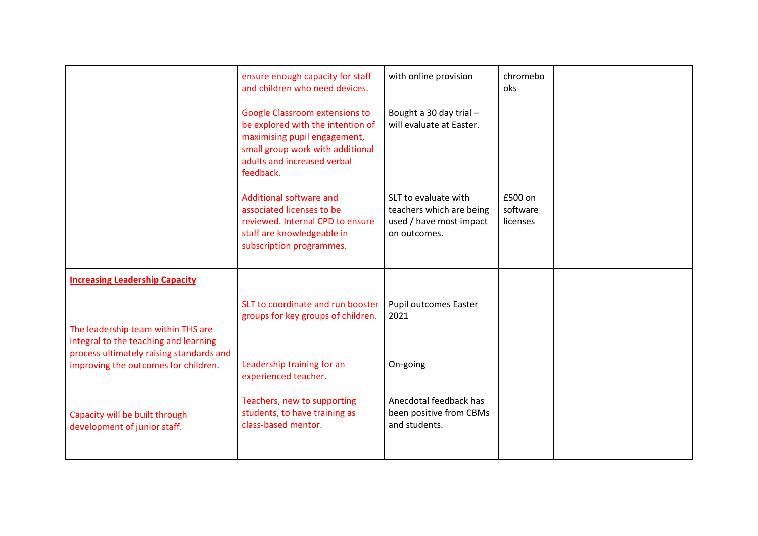|                                                                                                                      | ensure enough capacity for staff<br>and children who need devices.                                                                                                                         | with online provision                                                                       | chromebo<br>oks                 |  |
|----------------------------------------------------------------------------------------------------------------------|--------------------------------------------------------------------------------------------------------------------------------------------------------------------------------------------|---------------------------------------------------------------------------------------------|---------------------------------|--|
|                                                                                                                      | <b>Google Classroom extensions to</b><br>be explored with the intention of<br>maximising pupil engagement,<br>small group work with additional<br>adults and increased verbal<br>feedback. | Bought a 30 day trial -<br>will evaluate at Easter.                                         |                                 |  |
|                                                                                                                      | Additional software and<br>associated licenses to be<br>reviewed. Internal CPD to ensure<br>staff are knowledgeable in<br>subscription programmes.                                         | SLT to evaluate with<br>teachers which are being<br>used / have most impact<br>on outcomes. | £500 on<br>software<br>licenses |  |
| <b>Increasing Leadership Capacity</b><br>The leadership team within THS are<br>integral to the teaching and learning | SLT to coordinate and run booster<br>groups for key groups of children.                                                                                                                    | <b>Pupil outcomes Easter</b><br>2021                                                        |                                 |  |
| process ultimately raising standards and<br>improving the outcomes for children.                                     | Leadership training for an<br>experienced teacher.                                                                                                                                         | On-going                                                                                    |                                 |  |
| Capacity will be built through<br>development of junior staff.                                                       | Teachers, new to supporting<br>students, to have training as<br>class-based mentor.                                                                                                        | Anecdotal feedback has<br>been positive from CBMs<br>and students.                          |                                 |  |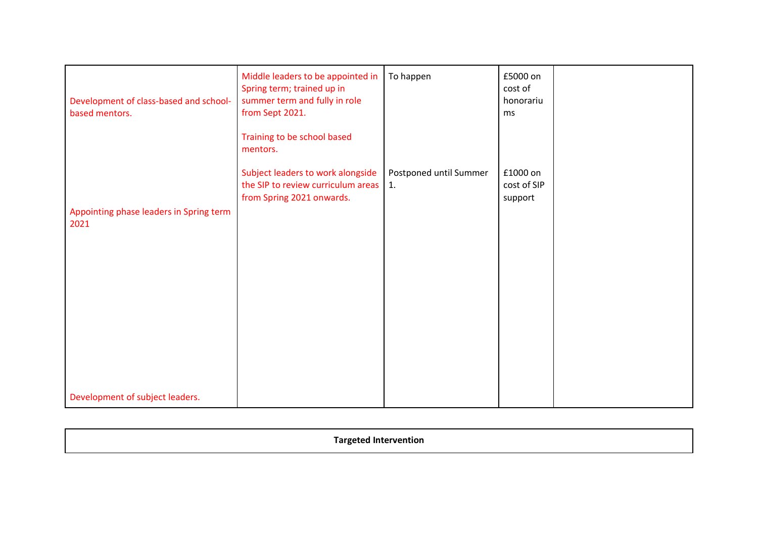| Development of class-based and school-<br>based mentors. | Middle leaders to be appointed in<br>Spring term; trained up in<br>summer term and fully in role<br>from Sept 2021.<br>Training to be school based<br>mentors. | To happen                    | £5000 on<br>cost of<br>honorariu<br>ms |  |
|----------------------------------------------------------|----------------------------------------------------------------------------------------------------------------------------------------------------------------|------------------------------|----------------------------------------|--|
| Appointing phase leaders in Spring term<br>2021          | Subject leaders to work alongside<br>the SIP to review curriculum areas<br>from Spring 2021 onwards.                                                           | Postponed until Summer<br>1. | £1000 on<br>cost of SIP<br>support     |  |
| Development of subject leaders.                          |                                                                                                                                                                |                              |                                        |  |

| г. и |
|------|
|------|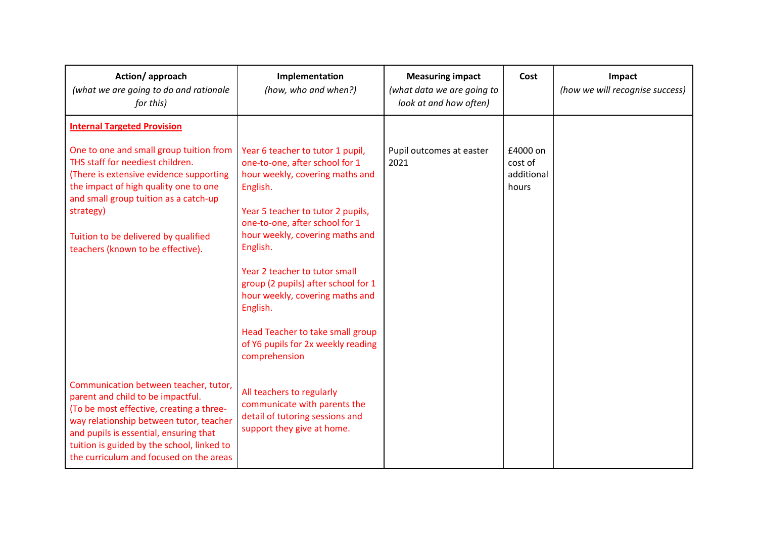| Action/approach<br>(what we are going to do and rationale<br>for this)                                                                                                                                                                                                                               | Implementation<br>(how, who and when?)                                                                                                                                                                                                                                                                                                                                                                                                                    | <b>Measuring impact</b><br>(what data we are going to<br>look at and how often) | Cost                                       | Impact<br>(how we will recognise success) |
|------------------------------------------------------------------------------------------------------------------------------------------------------------------------------------------------------------------------------------------------------------------------------------------------------|-----------------------------------------------------------------------------------------------------------------------------------------------------------------------------------------------------------------------------------------------------------------------------------------------------------------------------------------------------------------------------------------------------------------------------------------------------------|---------------------------------------------------------------------------------|--------------------------------------------|-------------------------------------------|
| <b>Internal Targeted Provision</b>                                                                                                                                                                                                                                                                   |                                                                                                                                                                                                                                                                                                                                                                                                                                                           |                                                                                 |                                            |                                           |
| One to one and small group tuition from<br>THS staff for neediest children.<br>(There is extensive evidence supporting<br>the impact of high quality one to one<br>and small group tuition as a catch-up<br>strategy)<br>Tuition to be delivered by qualified<br>teachers (known to be effective).   | Year 6 teacher to tutor 1 pupil,<br>one-to-one, after school for 1<br>hour weekly, covering maths and<br>English.<br>Year 5 teacher to tutor 2 pupils,<br>one-to-one, after school for 1<br>hour weekly, covering maths and<br>English.<br>Year 2 teacher to tutor small<br>group (2 pupils) after school for 1<br>hour weekly, covering maths and<br>English.<br>Head Teacher to take small group<br>of Y6 pupils for 2x weekly reading<br>comprehension | Pupil outcomes at easter<br>2021                                                | £4000 on<br>cost of<br>additional<br>hours |                                           |
| Communication between teacher, tutor,<br>parent and child to be impactful.<br>(To be most effective, creating a three-<br>way relationship between tutor, teacher<br>and pupils is essential, ensuring that<br>tuition is guided by the school, linked to<br>the curriculum and focused on the areas | All teachers to regularly<br>communicate with parents the<br>detail of tutoring sessions and<br>support they give at home.                                                                                                                                                                                                                                                                                                                                |                                                                                 |                                            |                                           |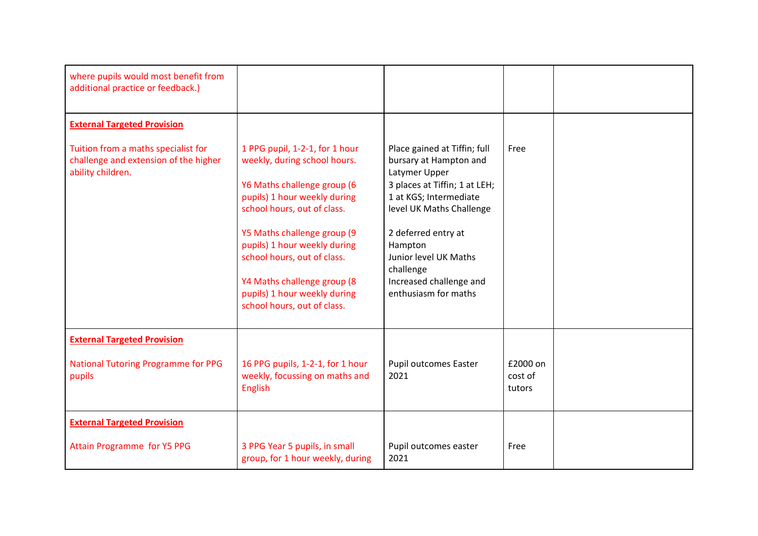| where pupils would most benefit from<br>additional practice or feedback.)                         |                                                                                                                                                                                                                                                                                                                                                          |                                                                                                                                                                                                                                                                                           |                               |  |
|---------------------------------------------------------------------------------------------------|----------------------------------------------------------------------------------------------------------------------------------------------------------------------------------------------------------------------------------------------------------------------------------------------------------------------------------------------------------|-------------------------------------------------------------------------------------------------------------------------------------------------------------------------------------------------------------------------------------------------------------------------------------------|-------------------------------|--|
| <b>External Targeted Provision</b>                                                                |                                                                                                                                                                                                                                                                                                                                                          |                                                                                                                                                                                                                                                                                           |                               |  |
| Tuition from a maths specialist for<br>challenge and extension of the higher<br>ability children. | 1 PPG pupil, 1-2-1, for 1 hour<br>weekly, during school hours.<br>Y6 Maths challenge group (6<br>pupils) 1 hour weekly during<br>school hours, out of class.<br>Y5 Maths challenge group (9<br>pupils) 1 hour weekly during<br>school hours, out of class.<br>Y4 Maths challenge group (8<br>pupils) 1 hour weekly during<br>school hours, out of class. | Place gained at Tiffin; full<br>bursary at Hampton and<br>Latymer Upper<br>3 places at Tiffin; 1 at LEH;<br>1 at KGS; Intermediate<br>level UK Maths Challenge<br>2 deferred entry at<br>Hampton<br>Junior level UK Maths<br>challenge<br>Increased challenge and<br>enthusiasm for maths | Free                          |  |
| <b>External Targeted Provision</b>                                                                |                                                                                                                                                                                                                                                                                                                                                          |                                                                                                                                                                                                                                                                                           |                               |  |
| <b>National Tutoring Programme for PPG</b><br>pupils                                              | 16 PPG pupils, 1-2-1, for 1 hour<br>weekly, focussing on maths and<br><b>English</b>                                                                                                                                                                                                                                                                     | <b>Pupil outcomes Easter</b><br>2021                                                                                                                                                                                                                                                      | £2000 on<br>cost of<br>tutors |  |
| <b>External Targeted Provision</b>                                                                |                                                                                                                                                                                                                                                                                                                                                          |                                                                                                                                                                                                                                                                                           |                               |  |
| <b>Attain Programme for Y5 PPG</b>                                                                | 3 PPG Year 5 pupils, in small<br>group, for 1 hour weekly, during                                                                                                                                                                                                                                                                                        | Pupil outcomes easter<br>2021                                                                                                                                                                                                                                                             | Free                          |  |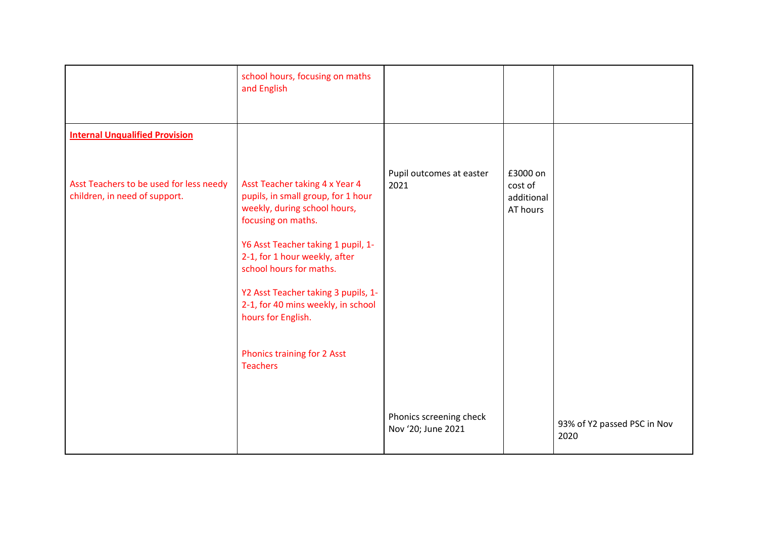|                                                                                                                   | school hours, focusing on maths<br>and English                                                                                                                                                                                                                                                                                                                                    |                                               |                                               |                                     |
|-------------------------------------------------------------------------------------------------------------------|-----------------------------------------------------------------------------------------------------------------------------------------------------------------------------------------------------------------------------------------------------------------------------------------------------------------------------------------------------------------------------------|-----------------------------------------------|-----------------------------------------------|-------------------------------------|
| <b>Internal Unqualified Provision</b><br>Asst Teachers to be used for less needy<br>children, in need of support. | Asst Teacher taking 4 x Year 4<br>pupils, in small group, for 1 hour<br>weekly, during school hours,<br>focusing on maths.<br>Y6 Asst Teacher taking 1 pupil, 1-<br>2-1, for 1 hour weekly, after<br>school hours for maths.<br>Y2 Asst Teacher taking 3 pupils, 1-<br>2-1, for 40 mins weekly, in school<br>hours for English.<br>Phonics training for 2 Asst<br><b>Teachers</b> | Pupil outcomes at easter<br>2021              | £3000 on<br>cost of<br>additional<br>AT hours |                                     |
|                                                                                                                   |                                                                                                                                                                                                                                                                                                                                                                                   | Phonics screening check<br>Nov '20; June 2021 |                                               | 93% of Y2 passed PSC in Nov<br>2020 |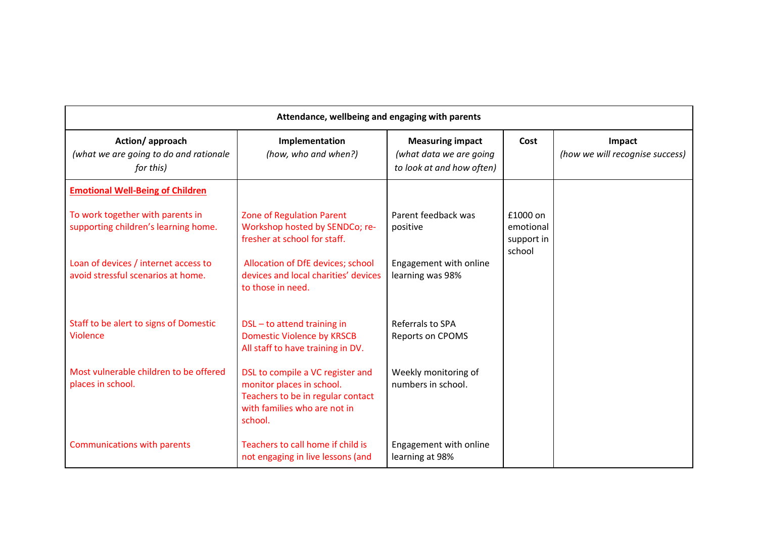| Attendance, wellbeing and engaging with parents                            |                                                                                                                                               |                                                                                 |                                               |                                           |  |
|----------------------------------------------------------------------------|-----------------------------------------------------------------------------------------------------------------------------------------------|---------------------------------------------------------------------------------|-----------------------------------------------|-------------------------------------------|--|
| Action/approach<br>(what we are going to do and rationale<br>for this)     | Implementation<br>(how, who and when?)                                                                                                        | <b>Measuring impact</b><br>(what data we are going<br>to look at and how often) | Cost                                          | Impact<br>(how we will recognise success) |  |
| <b>Emotional Well-Being of Children</b>                                    |                                                                                                                                               |                                                                                 |                                               |                                           |  |
| To work together with parents in<br>supporting children's learning home.   | <b>Zone of Regulation Parent</b><br>Workshop hosted by SENDCo; re-<br>fresher at school for staff.                                            | Parent feedback was<br>positive                                                 | £1000 on<br>emotional<br>support in<br>school |                                           |  |
| Loan of devices / internet access to<br>avoid stressful scenarios at home. | Allocation of DfE devices; school<br>devices and local charities' devices<br>to those in need.                                                | Engagement with online<br>learning was 98%                                      |                                               |                                           |  |
| Staff to be alert to signs of Domestic<br>Violence                         | DSL-to attend training in<br><b>Domestic Violence by KRSCB</b><br>All staff to have training in DV.                                           | Referrals to SPA<br><b>Reports on CPOMS</b>                                     |                                               |                                           |  |
| Most vulnerable children to be offered<br>places in school.                | DSL to compile a VC register and<br>monitor places in school.<br>Teachers to be in regular contact<br>with families who are not in<br>school. | Weekly monitoring of<br>numbers in school.                                      |                                               |                                           |  |
| <b>Communications with parents</b>                                         | Teachers to call home if child is<br>not engaging in live lessons (and                                                                        | Engagement with online<br>learning at 98%                                       |                                               |                                           |  |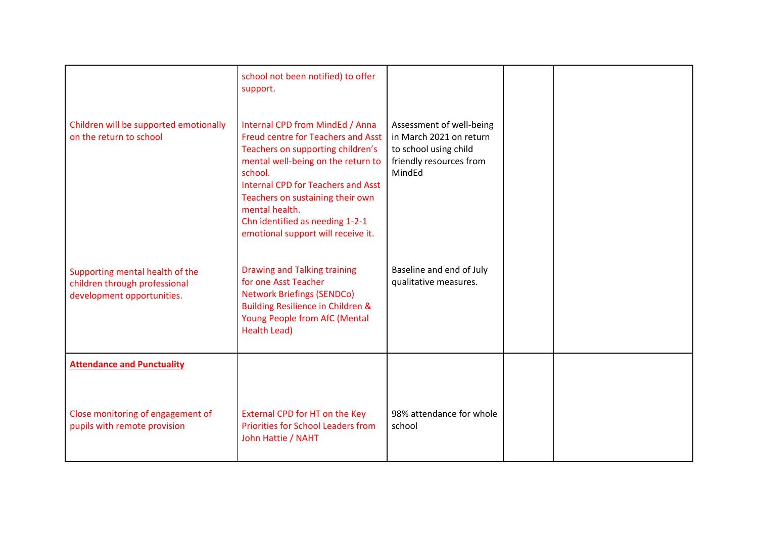| mental well-being on the return to  | friendly resources from                                                                                                                                                                                                                                                                                                                                                                                                                                                                           |                                                                                                                           |  |
|-------------------------------------|---------------------------------------------------------------------------------------------------------------------------------------------------------------------------------------------------------------------------------------------------------------------------------------------------------------------------------------------------------------------------------------------------------------------------------------------------------------------------------------------------|---------------------------------------------------------------------------------------------------------------------------|--|
| school.                             |                                                                                                                                                                                                                                                                                                                                                                                                                                                                                                   |                                                                                                                           |  |
|                                     |                                                                                                                                                                                                                                                                                                                                                                                                                                                                                                   |                                                                                                                           |  |
| mental health.                      |                                                                                                                                                                                                                                                                                                                                                                                                                                                                                                   |                                                                                                                           |  |
| Chn identified as needing 1-2-1     |                                                                                                                                                                                                                                                                                                                                                                                                                                                                                                   |                                                                                                                           |  |
|                                     |                                                                                                                                                                                                                                                                                                                                                                                                                                                                                                   |                                                                                                                           |  |
|                                     |                                                                                                                                                                                                                                                                                                                                                                                                                                                                                                   |                                                                                                                           |  |
| <b>Drawing and Talking training</b> | Baseline and end of July                                                                                                                                                                                                                                                                                                                                                                                                                                                                          |                                                                                                                           |  |
|                                     |                                                                                                                                                                                                                                                                                                                                                                                                                                                                                                   |                                                                                                                           |  |
|                                     |                                                                                                                                                                                                                                                                                                                                                                                                                                                                                                   |                                                                                                                           |  |
| Young People from AfC (Mental       |                                                                                                                                                                                                                                                                                                                                                                                                                                                                                                   |                                                                                                                           |  |
|                                     |                                                                                                                                                                                                                                                                                                                                                                                                                                                                                                   |                                                                                                                           |  |
|                                     |                                                                                                                                                                                                                                                                                                                                                                                                                                                                                                   |                                                                                                                           |  |
|                                     |                                                                                                                                                                                                                                                                                                                                                                                                                                                                                                   |                                                                                                                           |  |
|                                     |                                                                                                                                                                                                                                                                                                                                                                                                                                                                                                   |                                                                                                                           |  |
|                                     |                                                                                                                                                                                                                                                                                                                                                                                                                                                                                                   |                                                                                                                           |  |
| External CPD for HT on the Key      | 98% attendance for whole                                                                                                                                                                                                                                                                                                                                                                                                                                                                          |                                                                                                                           |  |
|                                     |                                                                                                                                                                                                                                                                                                                                                                                                                                                                                                   |                                                                                                                           |  |
|                                     |                                                                                                                                                                                                                                                                                                                                                                                                                                                                                                   |                                                                                                                           |  |
|                                     | school not been notified) to offer<br>support.<br>Internal CPD from MindEd / Anna<br><b>Freud centre for Teachers and Asst</b><br>Teachers on supporting children's<br><b>Internal CPD for Teachers and Asst</b><br>Teachers on sustaining their own<br>emotional support will receive it.<br>for one Asst Teacher<br><b>Network Briefings (SENDCo)</b><br><b>Building Resilience in Children &amp;</b><br><b>Health Lead)</b><br><b>Priorities for School Leaders from</b><br>John Hattie / NAHT | Assessment of well-being<br>in March 2021 on return<br>to school using child<br>MindEd<br>qualitative measures.<br>school |  |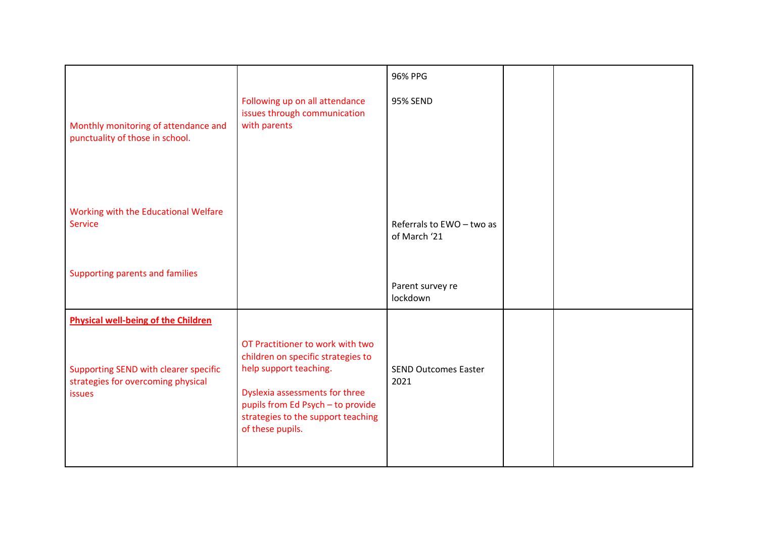|                                                                                              |                                                                                                                                                                                                                                   | 96% PPG                                   |  |
|----------------------------------------------------------------------------------------------|-----------------------------------------------------------------------------------------------------------------------------------------------------------------------------------------------------------------------------------|-------------------------------------------|--|
| Monthly monitoring of attendance and<br>punctuality of those in school.                      | Following up on all attendance<br>issues through communication<br>with parents                                                                                                                                                    | 95% SEND                                  |  |
| Working with the Educational Welfare<br><b>Service</b>                                       |                                                                                                                                                                                                                                   | Referrals to EWO - two as<br>of March '21 |  |
| Supporting parents and families                                                              |                                                                                                                                                                                                                                   | Parent survey re<br>lockdown              |  |
| <b>Physical well-being of the Children</b>                                                   |                                                                                                                                                                                                                                   |                                           |  |
| Supporting SEND with clearer specific<br>strategies for overcoming physical<br><b>issues</b> | OT Practitioner to work with two<br>children on specific strategies to<br>help support teaching.<br>Dyslexia assessments for three<br>pupils from Ed Psych - to provide<br>strategies to the support teaching<br>of these pupils. | <b>SEND Outcomes Easter</b><br>2021       |  |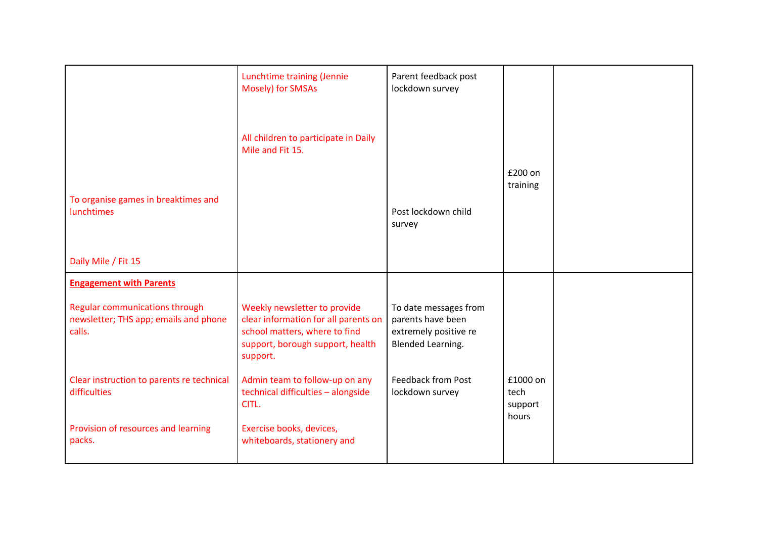|                                                                                   | Lunchtime training (Jennie<br>Mosely) for SMSAs                                                                                                       | Parent feedback post<br>lockdown survey                                                  |                                      |  |
|-----------------------------------------------------------------------------------|-------------------------------------------------------------------------------------------------------------------------------------------------------|------------------------------------------------------------------------------------------|--------------------------------------|--|
|                                                                                   | All children to participate in Daily<br>Mile and Fit 15.                                                                                              |                                                                                          |                                      |  |
| To organise games in breaktimes and<br>lunchtimes                                 |                                                                                                                                                       | Post lockdown child<br>survey                                                            | £200 on<br>training                  |  |
| Daily Mile / Fit 15                                                               |                                                                                                                                                       |                                                                                          |                                      |  |
| <b>Engagement with Parents</b>                                                    |                                                                                                                                                       |                                                                                          |                                      |  |
| Regular communications through<br>newsletter; THS app; emails and phone<br>calls. | Weekly newsletter to provide<br>clear information for all parents on<br>school matters, where to find<br>support, borough support, health<br>support. | To date messages from<br>parents have been<br>extremely positive re<br>Blended Learning. |                                      |  |
| Clear instruction to parents re technical<br>difficulties                         | Admin team to follow-up on any<br>technical difficulties - alongside<br>CITL.                                                                         | <b>Feedback from Post</b><br>lockdown survey                                             | £1000 on<br>tech<br>support<br>hours |  |
| Provision of resources and learning<br>packs.                                     | Exercise books, devices,<br>whiteboards, stationery and                                                                                               |                                                                                          |                                      |  |